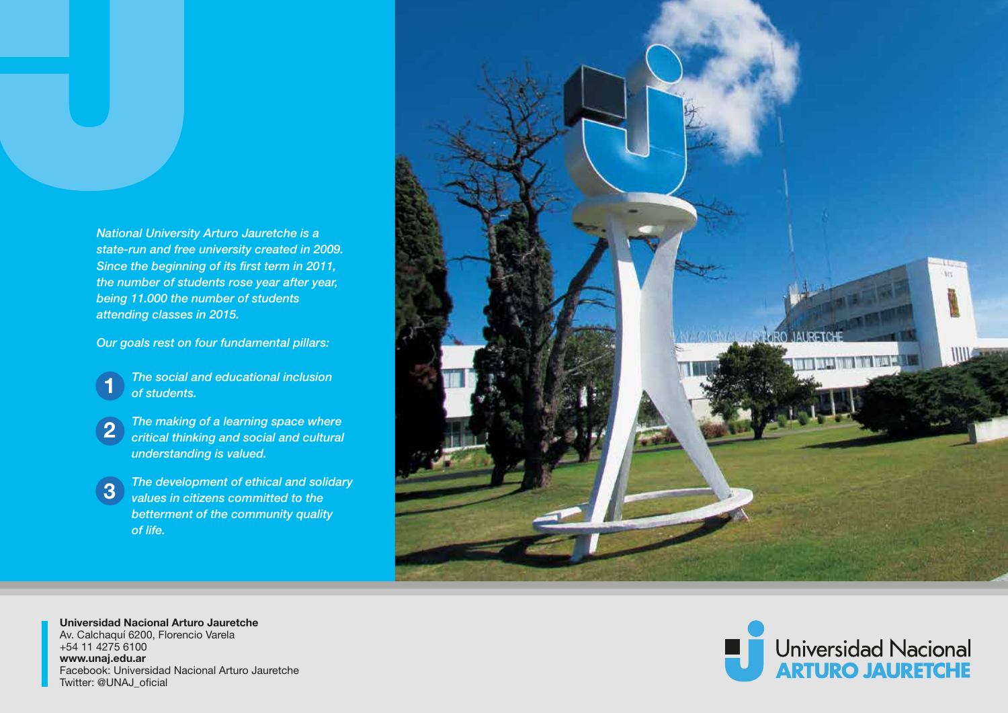*National University Arturo Jauretche is a state-run and free university created in 2009. Since the beginning of its first term in 2011, the number of students rose year after year, being 11.000 the number of students attending classes in 2015.*

*Our goals rest on four fundamental pillars:*

- *The social and educational inclusion of students.* **1**
- *The making of a learning space where*  2) The making of a learning space where critical thinking and social and cultural *understanding is valued.*
- *The development of ethical and solidary values in citizens committed to the betterment of the community quality of life.* **3**



**Universidad Nacional Arturo Jauretche** Av. Calchaquí 6200, Florencio Varela +54 11 4275 6100 **www.unaj.edu.ar** Facebook: Universidad Nacional Arturo Jauretche Twitter: @UNAJ\_oficial